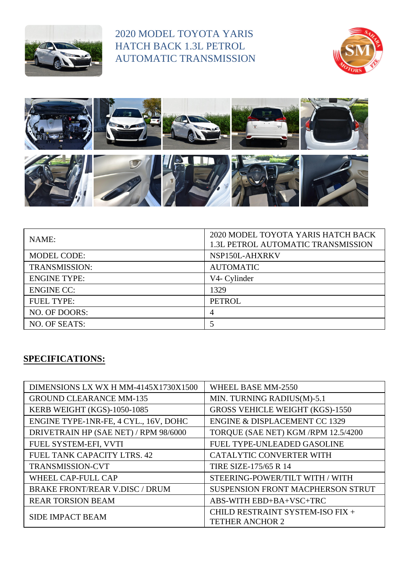

## 2020 MODEL TOYOTA YARIS HATCH BACK 1.3L PETROL AUTOMATIC TRANSMISSION





| NAME:                | 2020 MODEL TOYOTA YARIS HATCH BACK<br>1.3L PETROL AUTOMATIC TRANSMISSION |
|----------------------|--------------------------------------------------------------------------|
| <b>MODEL CODE:</b>   | NSP150L-AHXRKV                                                           |
| <b>TRANSMISSION:</b> | <b>AUTOMATIC</b>                                                         |
| <b>ENGINE TYPE:</b>  | V4- Cylinder                                                             |
| <b>ENGINE CC:</b>    | 1329                                                                     |
| <b>FUEL TYPE:</b>    | <b>PETROL</b>                                                            |
| NO. OF DOORS:        | 4                                                                        |
| NO. OF SEATS:        |                                                                          |

## **SPECIFICATIONS:**

| DIMENSIONS LX WX H MM-4145X1730X1500  | WHEEL BASE MM-2550                       |
|---------------------------------------|------------------------------------------|
| <b>GROUND CLEARANCE MM-135</b>        | MIN. TURNING RADIUS(M)-5.1               |
| KERB WEIGHT (KGS)-1050-1085           | <b>GROSS VEHICLE WEIGHT (KGS)-1550</b>   |
| ENGINE TYPE-1NR-FE, 4 CYL., 16V, DOHC | <b>ENGINE &amp; DISPLACEMENT CC 1329</b> |
| DRIVETRAIN HP (SAE NET) / RPM 98/6000 | TORQUE (SAE NET) KGM /RPM 12.5/4200      |
| FUEL SYSTEM-EFI, VVTI                 | FUEL TYPE-UNLEADED GASOLINE              |
| FUEL TANK CAPACITY LTRS. 42           | CATALYTIC CONVERTER WITH                 |
| <b>TRANSMISSION-CVT</b>               | <b>TIRE SIZE-175/65 R 14</b>             |
| WHEEL CAP-FULL CAP                    | STEERING-POWER/TILT WITH / WITH          |
| <b>BRAKE FRONT/REAR V.DISC / DRUM</b> | SUSPENSION FRONT MACPHERSON STRUT        |
| <b>REAR TORSION BEAM</b>              | ABS-WITH EBD+BA+VSC+TRC                  |
| SIDE IMPACT BEAM                      | CHILD RESTRAINT SYSTEM-ISO FIX +         |
|                                       | <b>TETHER ANCHOR 2</b>                   |